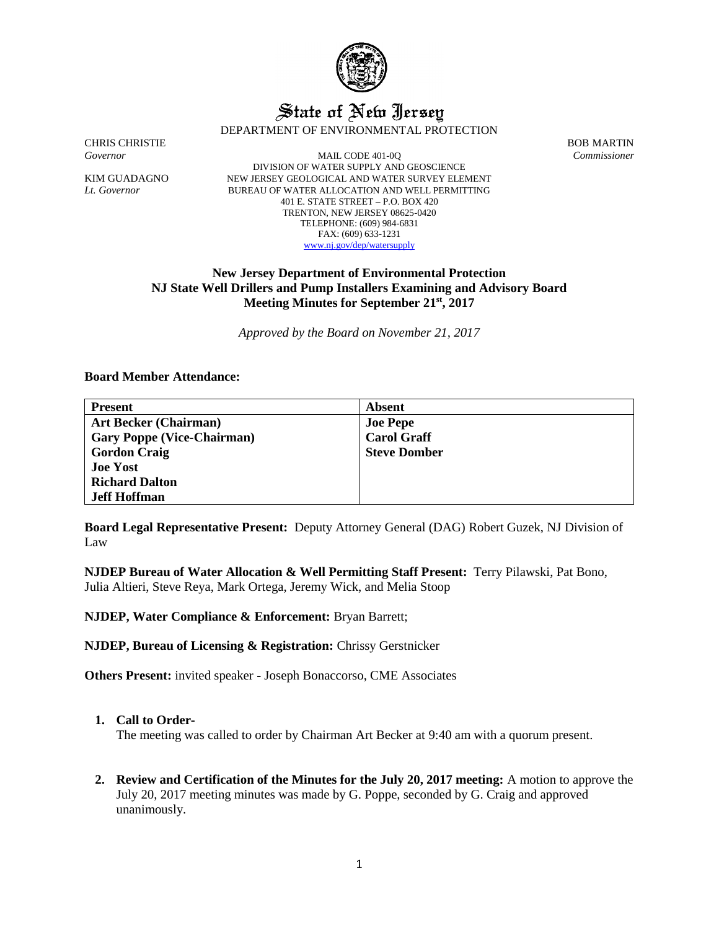

# State of New Jersey

DEPARTMENT OF ENVIRONMENTAL PROTECTION

CHRIS CHRISTIE BOB MARTIN

*Governor* MAIL CODE 401-0Q *Commissioner* DIVISION OF WATER SUPPLY AND GEOSCIENCE KIM GUADAGNO NEW JERSEY GEOLOGICAL AND WATER SURVEY ELEMENT *Lt. Governor* BUREAU OF WATER ALLOCATION AND WELL PERMITTING 401 E. STATE STREET – P.O. BOX 420 TRENTON, NEW JERSEY 08625-0420 TELEPHONE: (609) 984-6831 FAX: (609) 633-1231 [www.nj.gov/dep/watersupply](http://www.nj.gov/dep/watersupply)

## **New Jersey Department of Environmental Protection NJ State Well Drillers and Pump Installers Examining and Advisory Board Meeting Minutes for September 21st, 2017**

*Approved by the Board on November 21, 2017*

**Board Member Attendance:**

| <b>Present</b>                    | Absent              |
|-----------------------------------|---------------------|
| <b>Art Becker (Chairman)</b>      | <b>Joe Pepe</b>     |
| <b>Gary Poppe (Vice-Chairman)</b> | <b>Carol Graff</b>  |
| <b>Gordon Craig</b>               | <b>Steve Domber</b> |
| <b>Joe Yost</b>                   |                     |
| <b>Richard Dalton</b>             |                     |
| <b>Jeff Hoffman</b>               |                     |

**Board Legal Representative Present:** Deputy Attorney General (DAG) Robert Guzek, NJ Division of Law

**NJDEP Bureau of Water Allocation & Well Permitting Staff Present:** Terry Pilawski, Pat Bono, Julia Altieri, Steve Reya, Mark Ortega, Jeremy Wick, and Melia Stoop

**NJDEP, Water Compliance & Enforcement:** Bryan Barrett;

**NJDEP, Bureau of Licensing & Registration:** Chrissy Gerstnicker

**Others Present:** invited speaker **-** Joseph Bonaccorso, CME Associates

## **1. Call to Order-**

The meeting was called to order by Chairman Art Becker at 9:40 am with a quorum present.

**2. Review and Certification of the Minutes for the July 20, 2017 meeting:** A motion to approve the July 20, 2017 meeting minutes was made by G. Poppe, seconded by G. Craig and approved unanimously.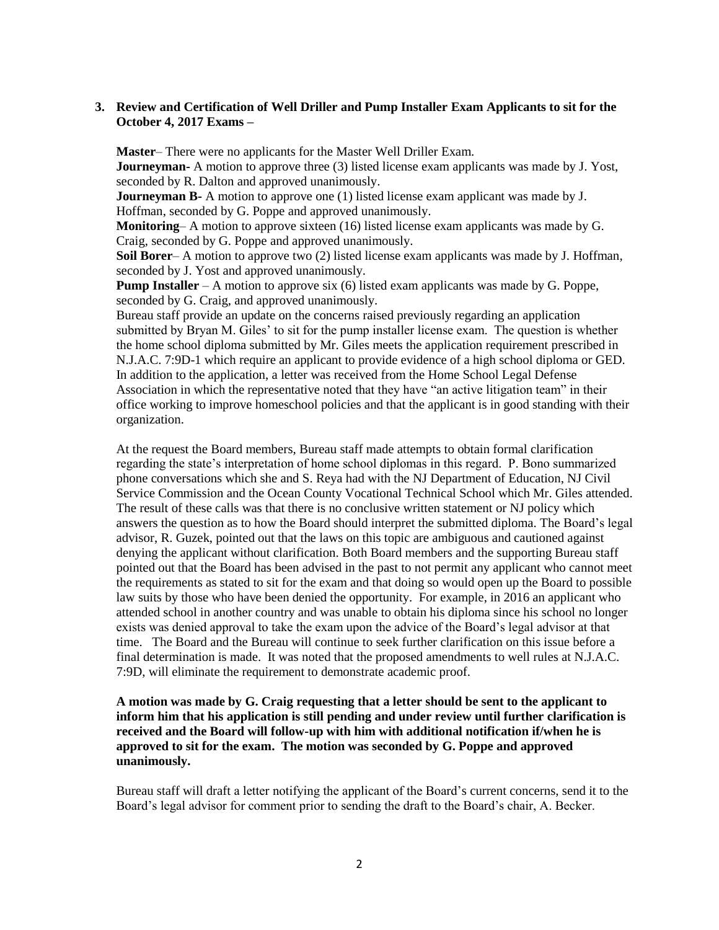## **3. Review and Certification of Well Driller and Pump Installer Exam Applicants to sit for the October 4, 2017 Exams –**

**Master**– There were no applicants for the Master Well Driller Exam. **Journeyman-** A motion to approve three (3) listed license exam applicants was made by J. Yost, seconded by R. Dalton and approved unanimously.

**Journeyman B-** A motion to approve one (1) listed license exam applicant was made by J. Hoffman, seconded by G. Poppe and approved unanimously.

**Monitoring**– A motion to approve sixteen (16) listed license exam applicants was made by G. Craig, seconded by G. Poppe and approved unanimously.

**Soil Borer**– A motion to approve two (2) listed license exam applicants was made by J. Hoffman, seconded by J. Yost and approved unanimously.

**Pump Installer** – A motion to approve six (6) listed exam applicants was made by G. Poppe, seconded by G. Craig, and approved unanimously.

Bureau staff provide an update on the concerns raised previously regarding an application submitted by Bryan M. Giles' to sit for the pump installer license exam. The question is whether the home school diploma submitted by Mr. Giles meets the application requirement prescribed in N.J.A.C. 7:9D-1 which require an applicant to provide evidence of a high school diploma or GED. In addition to the application, a letter was received from the Home School Legal Defense Association in which the representative noted that they have "an active litigation team" in their office working to improve homeschool policies and that the applicant is in good standing with their organization.

At the request the Board members, Bureau staff made attempts to obtain formal clarification regarding the state's interpretation of home school diplomas in this regard. P. Bono summarized phone conversations which she and S. Reya had with the NJ Department of Education, NJ Civil Service Commission and the Ocean County Vocational Technical School which Mr. Giles attended. The result of these calls was that there is no conclusive written statement or NJ policy which answers the question as to how the Board should interpret the submitted diploma. The Board's legal advisor, R. Guzek, pointed out that the laws on this topic are ambiguous and cautioned against denying the applicant without clarification. Both Board members and the supporting Bureau staff pointed out that the Board has been advised in the past to not permit any applicant who cannot meet the requirements as stated to sit for the exam and that doing so would open up the Board to possible law suits by those who have been denied the opportunity. For example, in 2016 an applicant who attended school in another country and was unable to obtain his diploma since his school no longer exists was denied approval to take the exam upon the advice of the Board's legal advisor at that time. The Board and the Bureau will continue to seek further clarification on this issue before a final determination is made. It was noted that the proposed amendments to well rules at N.J.A.C. 7:9D, will eliminate the requirement to demonstrate academic proof.

## **A motion was made by G. Craig requesting that a letter should be sent to the applicant to inform him that his application is still pending and under review until further clarification is received and the Board will follow-up with him with additional notification if/when he is approved to sit for the exam. The motion was seconded by G. Poppe and approved unanimously.**

Bureau staff will draft a letter notifying the applicant of the Board's current concerns, send it to the Board's legal advisor for comment prior to sending the draft to the Board's chair, A. Becker.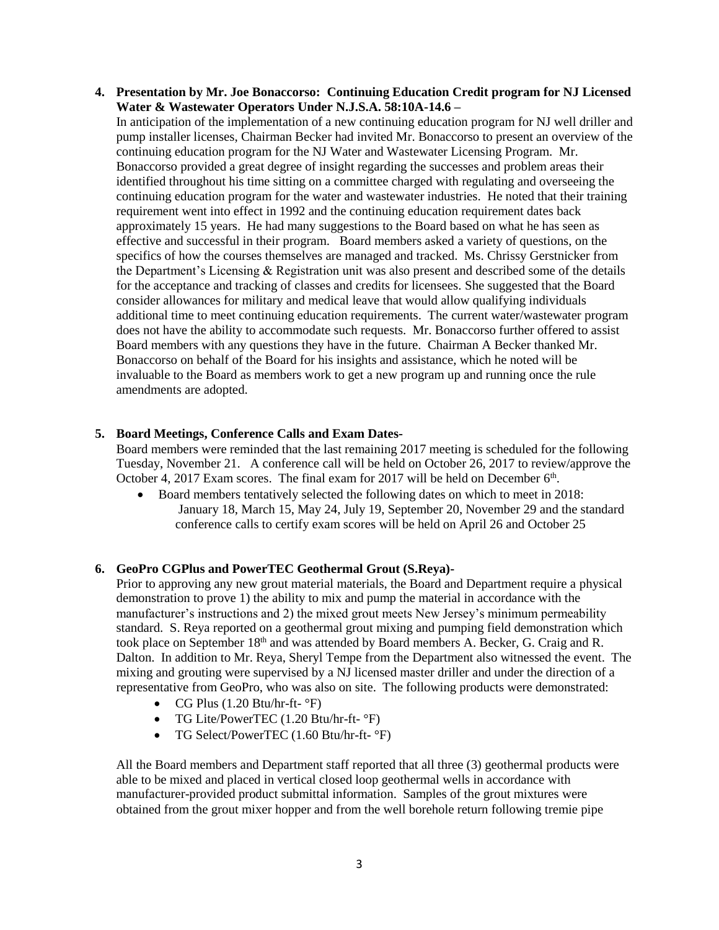**4. Presentation by Mr. Joe Bonaccorso: Continuing Education Credit program for NJ Licensed Water & Wastewater Operators Under N.J.S.A. 58:10A-14.6 –**

In anticipation of the implementation of a new continuing education program for NJ well driller and pump installer licenses, Chairman Becker had invited Mr. Bonaccorso to present an overview of the continuing education program for the NJ Water and Wastewater Licensing Program. Mr. Bonaccorso provided a great degree of insight regarding the successes and problem areas their identified throughout his time sitting on a committee charged with regulating and overseeing the continuing education program for the water and wastewater industries. He noted that their training requirement went into effect in 1992 and the continuing education requirement dates back approximately 15 years. He had many suggestions to the Board based on what he has seen as effective and successful in their program. Board members asked a variety of questions, on the specifics of how the courses themselves are managed and tracked. Ms. Chrissy Gerstnicker from the Department's Licensing & Registration unit was also present and described some of the details for the acceptance and tracking of classes and credits for licensees. She suggested that the Board consider allowances for military and medical leave that would allow qualifying individuals additional time to meet continuing education requirements. The current water/wastewater program does not have the ability to accommodate such requests. Mr. Bonaccorso further offered to assist Board members with any questions they have in the future. Chairman A Becker thanked Mr. Bonaccorso on behalf of the Board for his insights and assistance, which he noted will be invaluable to the Board as members work to get a new program up and running once the rule amendments are adopted.

## **5. Board Meetings, Conference Calls and Exam Dates-**

Board members were reminded that the last remaining 2017 meeting is scheduled for the following Tuesday, November 21. A conference call will be held on October 26, 2017 to review/approve the October 4, 2017 Exam scores. The final exam for 2017 will be held on December  $6<sup>th</sup>$ .

• Board members tentatively selected the following dates on which to meet in 2018: January 18, March 15, May 24, July 19, September 20, November 29 and the standard conference calls to certify exam scores will be held on April 26 and October 25

## **6. GeoPro CGPlus and PowerTEC Geothermal Grout (S.Reya)-**

Prior to approving any new grout material materials, the Board and Department require a physical demonstration to prove 1) the ability to mix and pump the material in accordance with the manufacturer's instructions and 2) the mixed grout meets New Jersey's minimum permeability standard. S. Reya reported on a geothermal grout mixing and pumping field demonstration which took place on September 18th and was attended by Board members A. Becker, G. Craig and R. Dalton. In addition to Mr. Reya, Sheryl Tempe from the Department also witnessed the event. The mixing and grouting were supervised by a NJ licensed master driller and under the direction of a representative from GeoPro, who was also on site. The following products were demonstrated:

- CG Plus  $(1.20 Btu/hr-ft-°F)$
- TG Lite/PowerTEC (1.20 Btu/hr-ft- °F)
- TG Select/PowerTEC (1.60 Btu/hr-ft- °F)

All the Board members and Department staff reported that all three (3) geothermal products were able to be mixed and placed in vertical closed loop geothermal wells in accordance with manufacturer-provided product submittal information. Samples of the grout mixtures were obtained from the grout mixer hopper and from the well borehole return following tremie pipe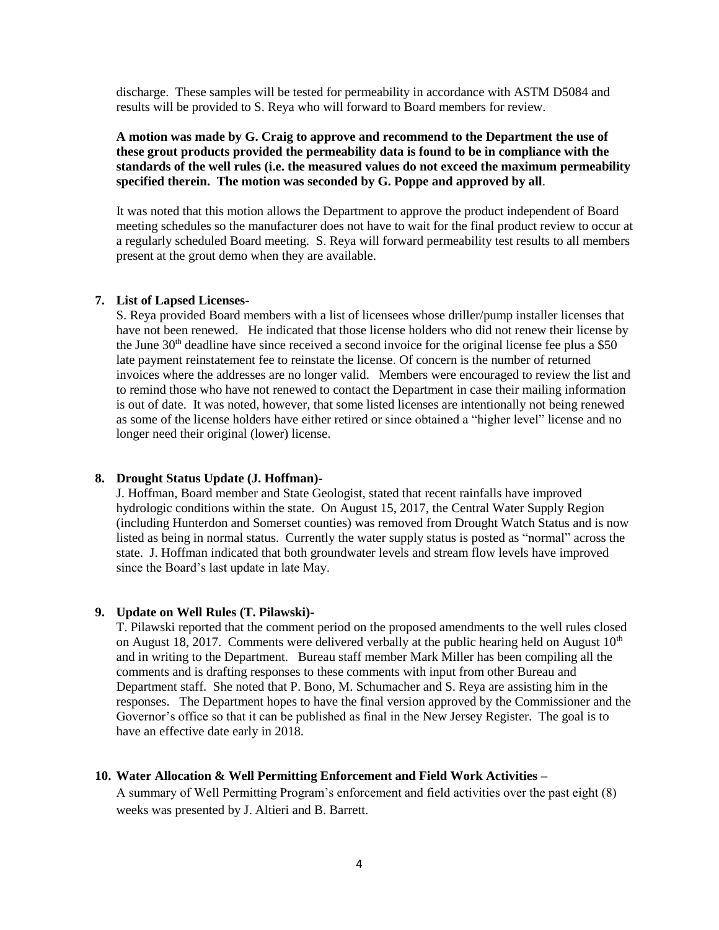discharge. These samples will be tested for permeability in accordance with ASTM D5084 and results will be provided to S. Reya who will forward to Board members for review.

**A motion was made by G. Craig to approve and recommend to the Department the use of these grout products provided the permeability data is found to be in compliance with the standards of the well rules (i.e. the measured values do not exceed the maximum permeability specified therein. The motion was seconded by G. Poppe and approved by all**.

It was noted that this motion allows the Department to approve the product independent of Board meeting schedules so the manufacturer does not have to wait for the final product review to occur at a regularly scheduled Board meeting. S. Reya will forward permeability test results to all members present at the grout demo when they are available.

#### **7. List of Lapsed Licenses-**

S. Reya provided Board members with a list of licensees whose driller/pump installer licenses that have not been renewed. He indicated that those license holders who did not renew their license by the June 30<sup>th</sup> deadline have since received a second invoice for the original license fee plus a \$50 late payment reinstatement fee to reinstate the license. Of concern is the number of returned invoices where the addresses are no longer valid. Members were encouraged to review the list and to remind those who have not renewed to contact the Department in case their mailing information is out of date. It was noted, however, that some listed licenses are intentionally not being renewed as some of the license holders have either retired or since obtained a "higher level" license and no longer need their original (lower) license.

## **8. Drought Status Update (J. Hoffman)-**

J. Hoffman, Board member and State Geologist, stated that recent rainfalls have improved hydrologic conditions within the state. On August 15, 2017, the Central Water Supply Region (including Hunterdon and Somerset counties) was removed from Drought Watch Status and is now listed as being in normal status. Currently the water supply status is posted as "normal" across the state. J. Hoffman indicated that both groundwater levels and stream flow levels have improved since the Board's last update in late May.

#### **9. Update on Well Rules (T. Pilawski)-**

T. Pilawski reported that the comment period on the proposed amendments to the well rules closed on August 18, 2017. Comments were delivered verbally at the public hearing held on August  $10<sup>th</sup>$ and in writing to the Department. Bureau staff member Mark Miller has been compiling all the comments and is drafting responses to these comments with input from other Bureau and Department staff. She noted that P. Bono, M. Schumacher and S. Reya are assisting him in the responses. The Department hopes to have the final version approved by the Commissioner and the Governor's office so that it can be published as final in the New Jersey Register. The goal is to have an effective date early in 2018.

## **10. Water Allocation & Well Permitting Enforcement and Field Work Activities –**

A summary of Well Permitting Program's enforcement and field activities over the past eight (8) weeks was presented by J. Altieri and B. Barrett.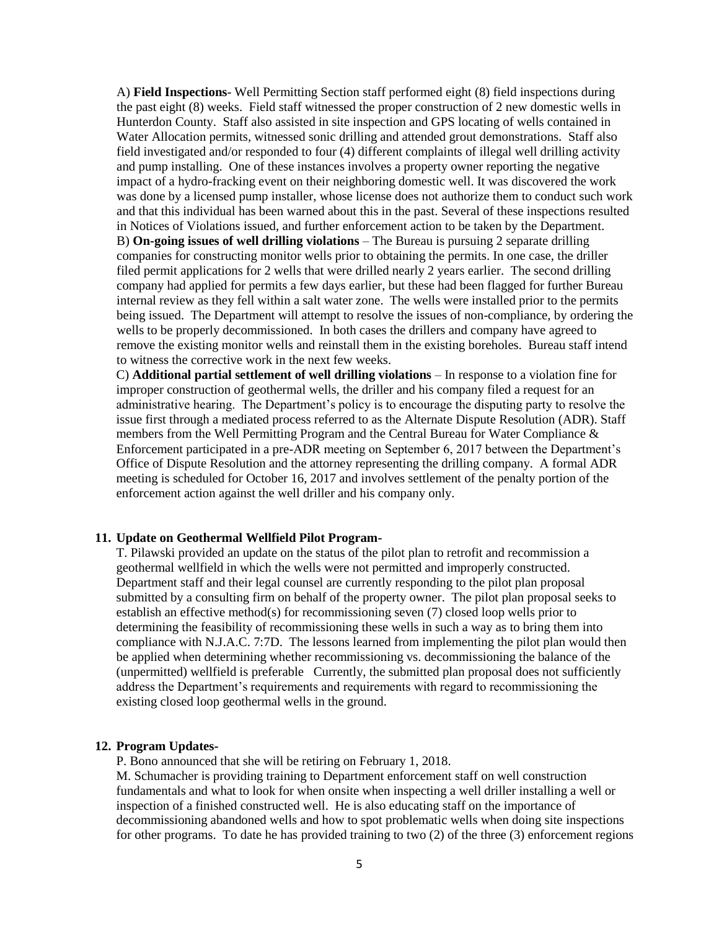A) **Field Inspections**- Well Permitting Section staff performed eight (8) field inspections during the past eight (8) weeks. Field staff witnessed the proper construction of 2 new domestic wells in Hunterdon County. Staff also assisted in site inspection and GPS locating of wells contained in Water Allocation permits, witnessed sonic drilling and attended grout demonstrations. Staff also field investigated and/or responded to four (4) different complaints of illegal well drilling activity and pump installing. One of these instances involves a property owner reporting the negative impact of a hydro-fracking event on their neighboring domestic well. It was discovered the work was done by a licensed pump installer, whose license does not authorize them to conduct such work and that this individual has been warned about this in the past. Several of these inspections resulted in Notices of Violations issued, and further enforcement action to be taken by the Department. B) **On-going issues of well drilling violations** – The Bureau is pursuing 2 separate drilling companies for constructing monitor wells prior to obtaining the permits. In one case, the driller filed permit applications for 2 wells that were drilled nearly 2 years earlier. The second drilling company had applied for permits a few days earlier, but these had been flagged for further Bureau internal review as they fell within a salt water zone. The wells were installed prior to the permits being issued. The Department will attempt to resolve the issues of non-compliance, by ordering the wells to be properly decommissioned. In both cases the drillers and company have agreed to remove the existing monitor wells and reinstall them in the existing boreholes. Bureau staff intend to witness the corrective work in the next few weeks.

C) **Additional partial settlement of well drilling violations** – In response to a violation fine for improper construction of geothermal wells, the driller and his company filed a request for an administrative hearing. The Department's policy is to encourage the disputing party to resolve the issue first through a mediated process referred to as the Alternate Dispute Resolution (ADR). Staff members from the Well Permitting Program and the Central Bureau for Water Compliance & Enforcement participated in a pre-ADR meeting on September 6, 2017 between the Department's Office of Dispute Resolution and the attorney representing the drilling company. A formal ADR meeting is scheduled for October 16, 2017 and involves settlement of the penalty portion of the enforcement action against the well driller and his company only.

## **11. Update on Geothermal Wellfield Pilot Program-**

T. Pilawski provided an update on the status of the pilot plan to retrofit and recommission a geothermal wellfield in which the wells were not permitted and improperly constructed. Department staff and their legal counsel are currently responding to the pilot plan proposal submitted by a consulting firm on behalf of the property owner. The pilot plan proposal seeks to establish an effective method(s) for recommissioning seven (7) closed loop wells prior to determining the feasibility of recommissioning these wells in such a way as to bring them into compliance with N.J.A.C. 7:7D. The lessons learned from implementing the pilot plan would then be applied when determining whether recommissioning vs. decommissioning the balance of the (unpermitted) wellfield is preferable Currently, the submitted plan proposal does not sufficiently address the Department's requirements and requirements with regard to recommissioning the existing closed loop geothermal wells in the ground.

#### **12. Program Updates-**

P. Bono announced that she will be retiring on February 1, 2018.

M. Schumacher is providing training to Department enforcement staff on well construction fundamentals and what to look for when onsite when inspecting a well driller installing a well or inspection of a finished constructed well. He is also educating staff on the importance of decommissioning abandoned wells and how to spot problematic wells when doing site inspections for other programs. To date he has provided training to two (2) of the three (3) enforcement regions